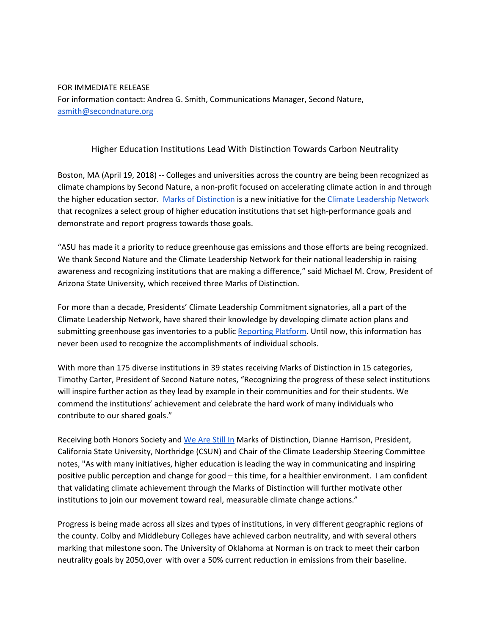## FOR IMMEDIATE RELEASE For information contact: Andrea G. Smith, Communications Manager, Second Nature, [asmith@secondnature.org](mailto:asmith@secondnature.org)

## Higher Education Institutions Lead With Distinction Towards Carbon Neutrality

Boston, MA (April 19, 2018) -- Colleges and universities across the country are being been recognized as climate champions by Second Nature, a non-profit focused on accelerating climate action in and through the higher education sector. Marks of [Distinction](http://secondnature.org/marksofdistinction) is a new initiative for the Climate [Leadership](http://secondnature.org/who-we-are/network/) Network that recognizes a select group of higher education institutions that set high-performance goals and demonstrate and report progress towards those goals.

"ASU has made it a priority to reduce greenhouse gas emissions and those efforts are being recognized. We thank Second Nature and the Climate Leadership Network for their national leadership in raising awareness and recognizing institutions that are making a difference," said Michael M. Crow, President of Arizona State University, which received three Marks of Distinction.

For more than a decade, Presidents' Climate Leadership Commitment signatories, all a part of the Climate Leadership Network, have shared their knowledge by developing climate action plans and submitting greenhouse gas inventories to a public [Reporting](http://reporting.secondnature.org/) Platform. Until now, this information has never been used to recognize the accomplishments of individual schools.

With more than 175 diverse institutions in 39 states receiving Marks of Distinction in 15 categories, Timothy Carter, President of Second Nature notes, "Recognizing the progress of these select institutions will inspire further action as they lead by example in their communities and for their students. We commend the institutions' achievement and celebrate the hard work of many individuals who contribute to our shared goals."

Receiving both Honors Society and We Are [Still](http://wearestillin.com/) In Marks of Distinction, Dianne Harrison, President, California State University, Northridge (CSUN) and Chair of the Climate Leadership Steering Committee notes, "As with many initiatives, higher education is leading the way in communicating and inspiring positive public perception and change for good – this time, for a healthier environment. I am confident that validating climate achievement through the Marks of Distinction will further motivate other institutions to join our movement toward real, measurable climate change actions."

Progress is being made across all sizes and types of institutions, in very different geographic regions of the county. Colby and Middlebury Colleges have achieved carbon neutrality, and with several others marking that milestone soon. The University of Oklahoma at Norman is on track to meet their carbon neutrality goals by 2050,over with over a 50% current reduction in emissions from their baseline.